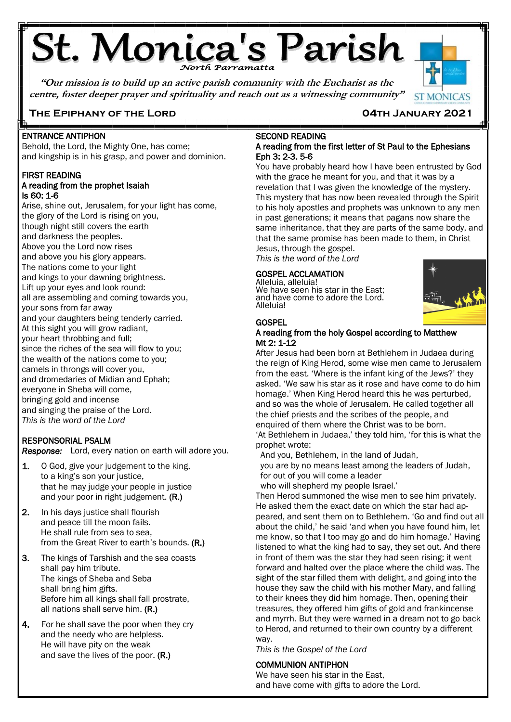# **St. Monica's Parish**

**"Our mission is to build up an active parish community with the Eucharist as the centre, foster deeper prayer and spirituality and reach out as a witnessing community"**

!

## **The Epiphany of the Lord 04th January 2021**

#### ŗ ENTRANCE ANTIPHON

Behold, the Lord, the Mighty One, has come; and kingship is in his grasp, and power and dominion.

## FIRST READING

E

#### A reading from the prophet Isaiah Is 60: 1-6

Arise, shine out, Jerusalem, for your light has come, the glory of the Lord is rising on you, though night still covers the earth and darkness the peoples. Above you the Lord now rises and above you his glory appears. The nations come to your light and kings to your dawning brightness. Lift up your eyes and look round: all are assembling and coming towards you, your sons from far away and your daughters being tenderly carried. At this sight you will grow radiant, your heart throbbing and full; since the riches of the sea will flow to you; the wealth of the nations come to you; camels in throngs will cover you, and dromedaries of Midian and Ephah; everyone in Sheba will come, bringing gold and incense and singing the praise of the Lord. *This is the word of the Lord*

#### RESPONSORIAL PSALM

*Response:* Lord, every nation on earth will adore you.

- 1. O God, give your judgement to the king, to a king's son your justice. that he may judge your people in justice and your poor in right judgement. (R.)
- 2. In his days justice shall flourish and peace till the moon fails. He shall rule from sea to sea, from the Great River to earth's bounds. (R.)
- **3.** The kings of Tarshish and the sea coasts shall pay him tribute. The kings of Sheba and Seba shall bring him gifts. Before him all kings shall fall prostrate, all nations shall serve him. (R.)
- 4. For he shall save the poor when they cry and the needy who are helpless. He will have pity on the weak and save the lives of the poor. (R.)

#### SECOND READING A reading from the first letter of St Paul to the Ephesians Eph 3: 2-3. 5-6

You have probably heard how I have been entrusted by God with the grace he meant for you, and that it was by a revelation that I was given the knowledge of the mystery. This mystery that has now been revealed through the Spirit to his holy apostles and prophets was unknown to any men in past generations; it means that pagans now share the same inheritance, that they are parts of the same body, and that the same promise has been made to them, in Christ Jesus, through the gospel.

*This is the word of the Lord*

#### GOSPEL ACCLAMATION

Alleluia, alleluia! We have seen his star in the East; and have come to adore the Lord. Alleluia!



#### A reading from the holy Gospel according to Matthew Mt 2: 1-12

After Jesus had been born at Bethlehem in Judaea during the reign of King Herod, some wise men came to Jerusalem from the east. 'Where is the infant king of the Jews?' they asked. 'We saw his star as it rose and have come to do him homage.' When King Herod heard this he was perturbed, and so was the whole of Jerusalem. He called together all the chief priests and the scribes of the people, and enquired of them where the Christ was to be born. 'At Bethlehem in Judaea,' they told him, 'for this is what the prophet wrote:

And you, Bethlehem, in the land of Judah,

you are by no means least among the leaders of Judah, for out of you will come a leader

who will shepherd my people Israel.'

Then Herod summoned the wise men to see him privately. He asked them the exact date on which the star had appeared, and sent them on to Bethlehem. 'Go and find out all about the child,' he said 'and when you have found him, let me know, so that I too may go and do him homage.' Having listened to what the king had to say, they set out. And there in front of them was the star they had seen rising; it went forward and halted over the place where the child was. The sight of the star filled them with delight, and going into the house they saw the child with his mother Mary, and falling to their knees they did him homage. Then, opening their treasures, they offered him gifts of gold and frankincense and myrrh. But they were warned in a dream not to go back to Herod, and returned to their own country by a different way.

*This is the Gospel of the Lord*

#### COMMUNION ANTIPHON

We have seen his star in the East. and have come with gifts to adore the Lord.



**ST MONICA'S**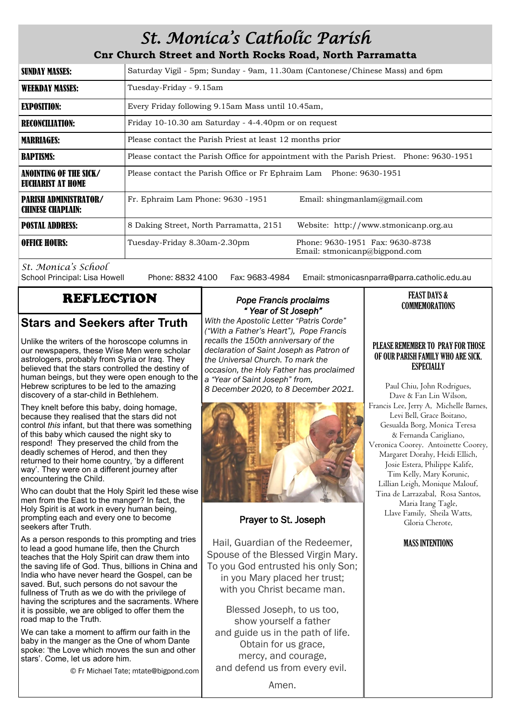## *St. Monica's Catholic Parish*

**Cnr Church Street and North Rocks Road, North Parramatta**

| <b>SUNDAY MASSES:</b>                                    | Saturday Vigil - 5pm; Sunday - 9am, 11.30am (Cantonese/Chinese Mass) and 6pm                     |  |  |  |  |
|----------------------------------------------------------|--------------------------------------------------------------------------------------------------|--|--|--|--|
| <b>WEEKDAY MASSES:</b>                                   | Tuesday-Friday - 9.15am                                                                          |  |  |  |  |
| <b>EXPOSITION:</b>                                       | Every Friday following 9.15am Mass until 10.45am,                                                |  |  |  |  |
| <b>RECONCILIATION:</b>                                   | Friday 10-10.30 am Saturday - 4-4.40pm or on request                                             |  |  |  |  |
| <b>MARRIAGES:</b>                                        | Please contact the Parish Priest at least 12 months prior                                        |  |  |  |  |
| <b>BAPTISMS:</b>                                         | Please contact the Parish Office for appointment with the Parish Priest. Phone: 9630-1951        |  |  |  |  |
| <b>ANOINTING OF THE SICK/</b><br>EUCHARIST AT HOME       | Please contact the Parish Office or Fr Ephraim Lam Phone: 9630-1951                              |  |  |  |  |
| <b>PARISH ADMINISTRATOR/</b><br><b>CHINESE CHAPLAIN:</b> | Fr. Ephraim Lam Phone: 9630 -1951<br>Email: shingmanlam@gmail.com                                |  |  |  |  |
| <b>POSTAL ADDRESS:</b>                                   | 8 Daking Street, North Parramatta, 2151<br>Website: http://www.stmonicanp.org.au                 |  |  |  |  |
| <b>OFFICE HOURS:</b>                                     | Tuesday-Friday 8.30am-2.30pm<br>Phone: 9630-1951 Fax: 9630-8738<br>Email: stmonicanp@bigpond.com |  |  |  |  |

*St. Monica's School*

Phone: 8832 4100 Fax: 9683-4984 Email: stmonicasnparra@parra.catholic.edu.au

## REFLECTION

## **Stars and Seekers after Truth**

Unlike the writers of the horoscope columns in our newspapers, these Wise Men were scholar astrologers, probably from Syria or Iraq. They believed that the stars controlled the destiny of human beings, but they were open enough to the Hebrew scriptures to be led to the amazing discovery of a star-child in Bethlehem.

They knelt before this baby, doing homage, because they realised that the stars did not control *this* infant, but that there was something of this baby which caused the night sky to respond! They preserved the child from the deadly schemes of Herod, and then they returned to their home country, 'by a different way'. They were on a different journey after encountering the Child.

Who can doubt that the Holy Spirit led these wise men from the East to the manger? In fact, the Holy Spirit is at work in every human being, prompting each and every one to become seekers after Truth.

As a person responds to this prompting and tries to lead a good humane life, then the Church teaches that the Holy Spirit can draw them into the saving life of God. Thus, billions in China and India who have never heard the Gospel, can be saved. But, such persons do not savour the fullness of Truth as we do with the privilege of having the scriptures and the sacraments. Where it is possible, we are obliged to offer them the road map to the Truth.

We can take a moment to affirm our faith in the baby in the manger as the One of whom Dante spoke: 'the Love which moves the sun and other stars'. Come, let us adore him.

© Fr Michael Tate; mtate@bigpond.com

## *Pope Francis proclaims " Year of St Joseph"*

*With the Apostolic Letter "Patris Corde" ("With a Father's Heart"), Pope Francis recalls the 150th anniversary of the declaration of Saint Joseph as Patron of the Universal Church. To mark the occasion, the Holy Father has proclaimed a "Year of Saint Joseph" from,* 

*8 December 2020, to 8 December 2021.* 



## Prayer to St. Joseph

Hail, Guardian of the Redeemer, Spouse of the Blessed Virgin Mary. To you God entrusted his only Son; in you Mary placed her trust; with you Christ became man.

Blessed Joseph, to us too, show yourself a father and guide us in the path of life. Obtain for us grace, mercy, and courage, and defend us from every evil.

#### FEAST DAYS & **COMMEMORATIONS**

#### PLEASE REMEMBER TO PRAY FOR THOSE OF OUR PARISH FAMILY WHO ARE SICK. **ESPECIALLY**

Paul Chiu, John Rodrigues, Dave & Fan Lin Wilson, Francis Lee, Jerry A, Michelle Barnes, Levi Bell, Grace Boitano, Gesualda Borg, Monica Teresa & Fernanda Carigliano, Veronica Coorey. Antoinette Coorey, Margaret Dorahy, Heidi Ellich, Josie Estera, Philippe Kalife, Tim Kelly, Mary Korunic, Lillian Leigh, Monique Malouf, Tina de Larrazabal, Rosa Santos, Maria Itang Tagle, Llave Family, Sheila Watts, Gloria Cherote,

MASS INTENTIONS

Amen.